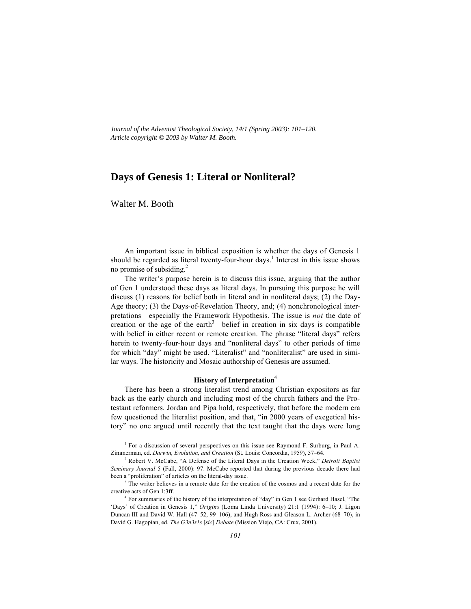*Journal of the Adventist Theological Society, 14/1 (Spring 2003): 101–120. Article copyright © 2003 by Walter M. Booth.*

# **Days of Genesis 1: Literal or Nonliteral?**

Walter M. Booth

An important issue in biblical exposition is whether the days of Genesis 1 should be regarded as literal twenty-four-hour days.<sup>1</sup> Interest in this issue shows no promise of subsiding. $^{2}$ 

The writer's purpose herein is to discuss this issue, arguing that the author of Gen 1 understood these days as literal days. In pursuing this purpose he will discuss (1) reasons for belief both in literal and in nonliteral days; (2) the Day-Age theory; (3) the Days-of-Revelation Theory, and; (4) nonchronological interpretations—especially the Framework Hypothesis. The issue is *not* the date of creation or the age of the earth<sup>3</sup>—belief in creation in six days is compatible with belief in either recent or remote creation. The phrase "literal days" refers herein to twenty-four-hour days and "nonliteral days" to other periods of time for which "day" might be used. "Literalist" and "nonliteralist" are used in similar ways. The historicity and Mosaic authorship of Genesis are assumed.

### **History of Interpretation**<sup>4</sup>

There has been a strong literalist trend among Christian expositors as far back as the early church and including most of the church fathers and the Protestant reformers. Jordan and Pipa hold, respectively, that before the modern era few questioned the literalist position, and that, "in 2000 years of exegetical history" no one argued until recently that the text taught that the days were long

 $\frac{1}{1}$  $<sup>1</sup>$  For a discussion of several perspectives on this issue see Raymond F. Surburg, in Paul A.</sup> Zimmerman, ed. *Darwin, Evolution, and Creation* (St. Louis: Concordia, 1959), 57–64.

<sup>2</sup> Robert V. McCabe, "A Defense of the Literal Days in the Creation Week," *Detroit Baptist Seminary Journal* 5 (Fall, 2000): 97. McCabe reported that during the previous decade there had been a "proliferation" of articles on the literal-day issue.

 $3$  The writer believes in a remote date for the creation of the cosmos and a recent date for the creative acts of Gen 1:3ff.

<sup>&</sup>lt;sup>4</sup> For summaries of the history of the interpretation of "day" in Gen 1 see Gerhard Hasel. "The 'Days' of Creation in Genesis 1," *Origins* (Loma Linda University) 21:1 (1994): 6–10; J. Ligon Duncan III and David W. Hall (47–52, 99–106), and Hugh Ross and Gleason L. Archer (68–70), in David G. Hagopian, ed. *The G3n3s1s* [*sic*] *Debate* (Mission Viejo, CA: Crux, 2001).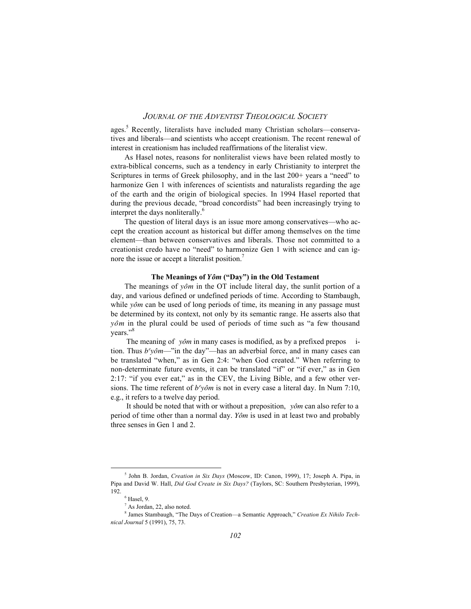ages.<sup>5</sup> Recently, literalists have included many Christian scholars—conservatives and liberals—and scientists who accept creationism. The recent renewal of interest in creationism has included reaffirmations of the literalist view.

As Hasel notes, reasons for nonliteralist views have been related mostly to extra-biblical concerns, such as a tendency in early Christianity to interpret the Scriptures in terms of Greek philosophy, and in the last 200+ years a "need" to harmonize Gen 1 with inferences of scientists and naturalists regarding the age of the earth and the origin of biological species. In 1994 Hasel reported that during the previous decade, "broad concordists" had been increasingly trying to interpret the days nonliterally.<sup>6</sup>

The question of literal days is an issue more among conservatives—who accept the creation account as historical but differ among themselves on the time element—than between conservatives and liberals. Those not committed to a creationist credo have no "need" to harmonize Gen 1 with science and can ignore the issue or accept a literalist position.<sup>7</sup>

#### **The Meanings of** *Yo®m* **("Day") in the Old Testament**

The meanings of  $y\hat{o}m$  in the OT include literal day, the sunlit portion of a day, and various defined or undefined periods of time. According to Stambaugh, while *yôm* can be used of long periods of time, its meaning in any passage must be determined by its context, not only by its semantic range. He asserts also that *yôm* in the plural could be used of periods of time such as "a few thousand" years."<sup>8</sup>

The meaning of *yôm* in many cases is modified, as by a prefixed prepos ition. Thus  $b^{\epsilon}$ *yôm*—"in the day"—has an adverbial force, and in many cases can be translated "when," as in Gen 2:4: "when God created." When referring to non-determinate future events, it can be translated "if" or "if ever," as in Gen 2:17: "if you ever eat," as in the CEV, the Living Bible, and a few other versions. The time referent of  $b^e$ y $\delta m$  is not in every case a literal day. In Num 7:10, e.g., it refers to a twelve day period.

It should be noted that with or without a preposition, *yôm* can also refer to a period of time other than a normal day. *Yo®m* is used in at least two and probably three senses in Gen 1 and 2.

 $\frac{1}{5}$ <sup>5</sup> John B. Jordan, *Creation in Six Days* (Moscow, ID: Canon, 1999), 17; Joseph A. Pipa, in Pipa and David W. Hall, *Did God Create in Six Days?* (Taylors, SC: Southern Presbyterian, 1999), 192.

 $6$  Hasel, 9.

 $^7$  As Jordan, 22, also noted.

<sup>&</sup>lt;sup>8</sup> James Stambaugh, "The Days of Creation—a Semantic Approach," *Creation Ex Nihilo Technical Journal* 5 (1991), 75, 73.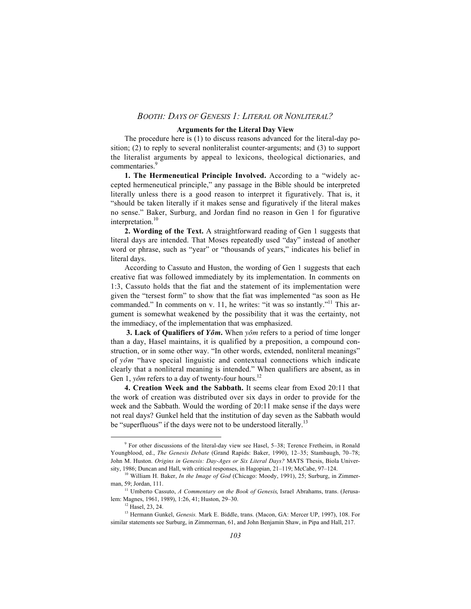#### **Arguments for the Literal Day View**

The procedure here is (1) to discuss reasons advanced for the literal-day position; (2) to reply to several nonliteralist counter-arguments; and (3) to support the literalist arguments by appeal to lexicons, theological dictionaries, and commentaries.<sup>9</sup>

**1. The Hermeneutical Principle Involved.** According to a "widely accepted hermeneutical principle," any passage in the Bible should be interpreted literally unless there is a good reason to interpret it figuratively. That is, it "should be taken literally if it makes sense and figuratively if the literal makes no sense." Baker, Surburg, and Jordan find no reason in Gen 1 for figurative interpretation.<sup>10</sup>

**2. Wording of the Text.** A straightforward reading of Gen 1 suggests that literal days are intended. That Moses repeatedly used "day" instead of another word or phrase, such as "year" or "thousands of years," indicates his belief in literal days.

According to Cassuto and Huston, the wording of Gen 1 suggests that each creative fiat was followed immediately by its implementation. In comments on 1:3, Cassuto holds that the fiat and the statement of its implementation were given the "tersest form" to show that the fiat was implemented "as soon as He commanded." In comments on v. 11, he writes: "it was so instantly."<sup>11</sup> This argument is somewhat weakened by the possibility that it was the certainty, not the immediacy, of the implementation that was emphasized.

**3. Lack of Qualifiers of** *Yôm*. When  $y\hat{o}m$  refers to a period of time longer than a day, Hasel maintains, it is qualified by a preposition, a compound construction, or in some other way. "In other words, extended, nonliteral meanings" of  $y\hat{o}m$  "have special linguistic and contextual connections which indicate clearly that a nonliteral meaning is intended." When qualifiers are absent, as in Gen 1,  $\gamma$ *om* refers to a day of twenty-four hours.<sup>12</sup>

**4. Creation Week and the Sabbath.** It seems clear from Exod 20:11 that the work of creation was distributed over six days in order to provide for the week and the Sabbath. Would the wording of 20:11 make sense if the days were not real days? Gunkel held that the institution of day seven as the Sabbath would be "superfluous" if the days were not to be understood literally.<sup>13</sup>

 $\frac{1}{9}$  For other discussions of the literal-day view see Hasel, 5–38; Terence Fretheim, in Ronald Youngblood, ed., *The Genesis Debate* (Grand Rapids: Baker, 1990), 12–35; Stambaugh, 70–78; John M. Huston. *Origins in Genesis: Day-Ages or Six Literal Days?* MATS Thesis, Biola University, 1986; Duncan and Hall, with critical responses, in Hagopian, 21–119; McCabe, 97–124.

<sup>10</sup> William H. Baker, *In the Image of God* (Chicago: Moody, 1991), 25; Surburg, in Zimmerman, 59; Jordan, 111.

<sup>&</sup>lt;sup>11</sup> Umberto Cassuto, *A Commentary on the Book of Genesis*, Israel Abrahams, trans. (Jerusalem: Magnes, 1961, 1989), 1:26, 41; Huston, 29–30.

<sup>12</sup> Hasel, 23, 24.

<sup>&</sup>lt;sup>13</sup> Hermann Gunkel, *Genesis*. Mark E. Biddle, trans. (Macon, GA: Mercer UP, 1997), 108. For similar statements see Surburg, in Zimmerman, 61, and John Benjamin Shaw, in Pipa and Hall, 217.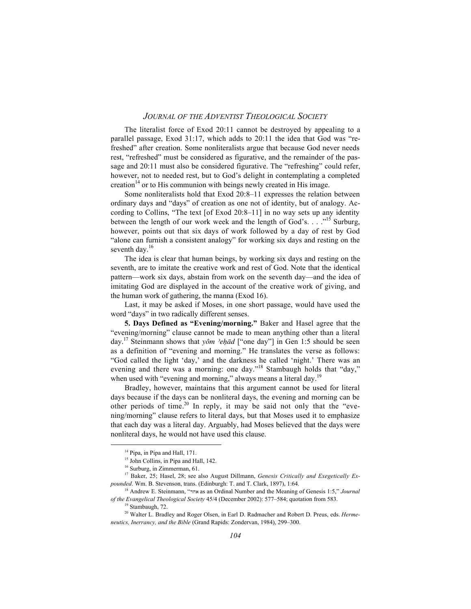The literalist force of Exod 20:11 cannot be destroyed by appealing to a parallel passage, Exod 31:17, which adds to 20:11 the idea that God was "refreshed" after creation. Some nonliteralists argue that because God never needs rest, "refreshed" must be considered as figurative, and the remainder of the passage and 20:11 must also be considered figurative. The "refreshing" could refer, however, not to needed rest, but to God's delight in contemplating a completed creation $14$  or to His communion with beings newly created in His image.

Some nonliteralists hold that Exod 20:8–11 expresses the relation between ordinary days and "days" of creation as one not of identity, but of analogy. According to Collins, "The text [of Exod 20:8–11] in no way sets up any identity between the length of our work week and the length of God's. . . ."15 Surburg, however, points out that six days of work followed by a day of rest by God "alone can furnish a consistent analogy" for working six days and resting on the seventh day.<sup>16</sup>

The idea is clear that human beings, by working six days and resting on the seventh, are to imitate the creative work and rest of God. Note that the identical pattern—work six days, abstain from work on the seventh day—and the idea of imitating God are displayed in the account of the creative work of giving, and the human work of gathering, the manna (Exod 16).

Last, it may be asked if Moses, in one short passage, would have used the word "days" in two radically different senses.

**5. Days Defined as "Evening/morning."** Baker and Hasel agree that the "evening/morning" clause cannot be made to mean anything other than a literal day.<sup>17</sup> Steinmann shows that *yôm 'eḥād* ["one day"] in Gen 1:5 should be seen as a definition of "evening and morning." He translates the verse as follows: "God called the light 'day,' and the darkness he called 'night.' There was an evening and there was a morning: one day."<sup>18</sup> Stambaugh holds that "day," when used with "evening and morning," always means a literal day.<sup>19</sup>

Bradley, however, maintains that this argument cannot be used for literal days because if the days can be nonliteral days, the evening and morning can be other periods of time.<sup>20</sup> In reply, it may be said not only that the "evening/morning" clause refers to literal days, but that Moses used it to emphasize that each day was a literal day. Arguably, had Moses believed that the days were nonliteral days, he would not have used this clause.

<sup>&</sup>lt;sup>14</sup> Pipa, in Pipa and Hall, 171.

<sup>&</sup>lt;sup>15</sup> John Collins, in Pipa and Hall, 142.

<sup>16</sup> Surburg, in Zimmerman, 61.

<sup>&</sup>lt;sup>17</sup> Baker, 25; Hasel, 28; see also August Dillmann, *Genesis Critically and Exegetically Expounded*. Wm. B. Stevenson, trans. (Edinburgh: T. and T. Clark, 1897), 1:64.

<sup>18</sup> Andrew E. Steinmann, "dja as an Ordinal Number and the Meaning of Genesis 1:5," *Journal of the Evangelical Theological Society* 45/4 (December 2002): 577–584; quotation from 583.

<sup>19</sup> Stambaugh, 72.

<sup>20</sup> Walter L. Bradley and Roger Olsen, in Earl D. Radmacher and Robert D. Preus, eds. *Hermeneutics, Inerrancy, and the Bible* (Grand Rapids: Zondervan, 1984), 299–300.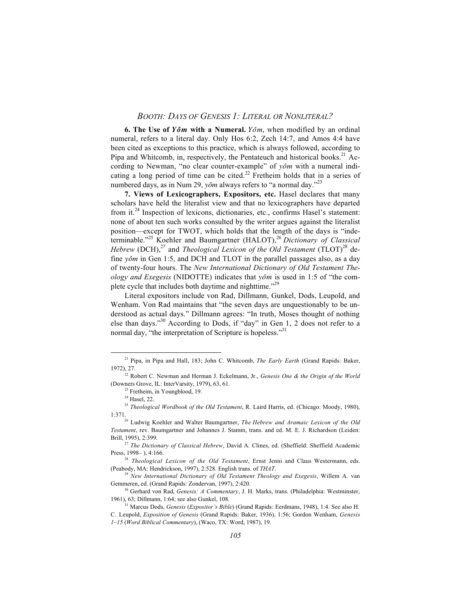**6. The Use of** *Yôm* with a Numeral. *Yôm*, when modified by an ordinal numeral, refers to a literal day. Only Hos 6:2, Zech 14:7, and Amos 4:4 have been cited as exceptions to this practice, which is always followed, according to Pipa and Whitcomb, in, respectively, the Pentateuch and historical books.<sup>21</sup> According to Newman, "no clear counter-example" of *yôm* with a numeral indicating a long period of time can be cited.<sup>22</sup> Fretheim holds that in a series of numbered days, as in Num 29, *yôm* always refers to "a normal day."<sup>23</sup>

**7. Views of Lexicographers, Expositors, etc.** Hasel declares that many scholars have held the literalist view and that no lexicographers have departed from it. $^{24}$  Inspection of lexicons, dictionaries, etc., confirms Hasel's statement: none of about ten such works consulted by the writer argues against the literalist position—except for TWOT, which holds that the length of the days is "indeterminable."25 Koehler and Baumgartner (HALOT),26 *Dictionary of Classical Hebrew* (DCH),<sup>27</sup> and *Theological Lexicon of the Old Testament* (TLOT)<sup>28</sup> define  $\gamma$ *ôm* in Gen 1:5, and DCH and TLOT in the parallel passages also, as a day of twenty-four hours. The *New International Dictionary of Old Testament Theology and Exegesis* (NIDOTTE) indicates that  $\gamma \hat{\omega} m$  is used in 1:5 of "the complete cycle that includes both daytime and nighttime."<sup>29</sup>

Literal expositors include von Rad, Dillmann, Gunkel, Dods, Leupold, and Wenham. Von Rad maintains that "the seven days are unquestionably to be understood as actual days." Dillmann agrees: "In truth, Moses thought of nothing else than days."30 According to Dods, if "day" in Gen 1, 2 does not refer to a normal day, "the interpretation of Scripture is hopeless."<sup>31</sup>

21 Pipa, in Pipa and Hall, 183; John C. Whitcomb, *The Early Earth* (Grand Rapids: Baker, 1972), 27.

<sup>&</sup>lt;sup>22</sup> Robert C. Newman and Herman J. Eckelmann, Jr., *Genesis One & the Origin of the World* (Downers Grove, IL: InterVarsity, 1979), 63, 61.

<sup>&</sup>lt;sup>23</sup> Fretheim, in Youngblood, 19.

<sup>&</sup>lt;sup>24</sup> Hasel, 22.

<sup>25</sup> *Theological Wordbook of the Old Testament*, R. Laird Harris, ed. (Chicago: Moody, 1980),

<sup>1:371.26</sup> Ludwig Koehler and Walter Baumgartner, *The Hebrew and Aramaic Lexicon of the Old Testament*, rev. Baumgartner and Johannes J. Stamm, trans. and ed. M. E. J. Richardson (Leiden: Brill, 1995), 2:399.

<sup>27</sup> *The Dictionary of Classical Hebrew*, David A. Clines, ed. (Sheffield: Sheffield Academic Press, 1998– ), 4:166.

<sup>28</sup> *Theological Lexicon of the Old Testament*, Ernst Jenni and Claus Westermann, eds. (Peabody, MA: Hendrickson, 1997), 2:528. English trans. of *THAT*.

<sup>29</sup> *New International Dictionary of Old Testament Theology and Exegesis*, Willem A. van Gemmeren, ed. (Grand Rapids: Zondervan, 1997), 2:420.

<sup>30</sup> Gerhard von Rad, *Genesis: A Commentary*, J. H. Marks, trans. (Philadelphia: Westminster, 1961), 63; Dillmann, 1:64; see also Gunkel, 108.

<sup>31</sup> Marcus Dods, *Genesis* (*Expositor's Bible*) (Grand Rapids: Eerdmans, 1948), 1:4. See also H. C. Leupold, *Exposition of Genesis* (Grand Rapids: Baker, 1936), 1:56; Gordon Wenham, *Genesis 1–15* (*Word Biblical Commentary*), (Waco, TX: Word, 1987), 19.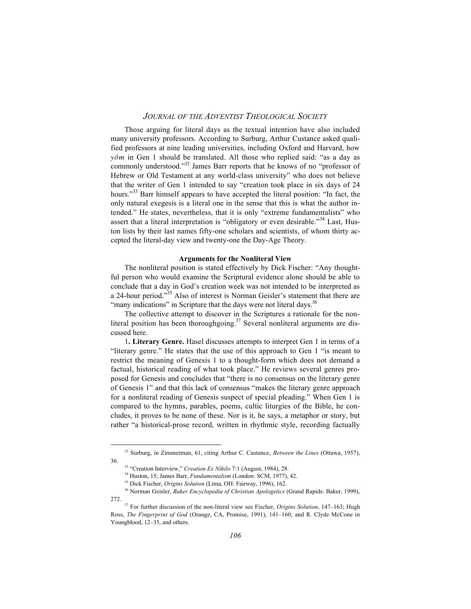Those arguing for literal days as the textual intention have also included many university professors. According to Surburg, Arthur Custance asked qualified professors at nine leading universities, including Oxford and Harvard, how *yôm* in Gen 1 should be translated. All those who replied said: "as a day as commonly understood."32 James Barr reports that he knows of no "professor of Hebrew or Old Testament at any world-class university" who does not believe that the writer of Gen 1 intended to say "creation took place in six days of 24 hours."<sup>33</sup> Barr himself appears to have accepted the literal position: "In fact, the only natural exegesis is a literal one in the sense that this is what the author intended." He states, nevertheless, that it is only "extreme fundamentalists" who assert that a literal interpretation is "obligatory or even desirable."<sup>34</sup> Last, Huston lists by their last names fifty-one scholars and scientists, of whom thirty accepted the literal-day view and twenty-one the Day-Age Theory.

#### **Arguments for the Nonliteral View**

The nonliteral position is stated effectively by Dick Fischer: "Any thoughtful person who would examine the Scriptural evidence alone should be able to conclude that a day in God's creation week was not intended to be interpreted as a 24-hour period."35 Also of interest is Norman Geisler's statement that there are "many indications" in Scripture that the days were not literal days.<sup>36</sup>

The collective attempt to discover in the Scriptures a rationale for the nonliteral position has been thoroughgoing.<sup>37</sup> Several nonliteral arguments are discussed here.

1**. Literary Genre.** Hasel discusses attempts to interpret Gen 1 in terms of a "literary genre." He states that the use of this approach to Gen 1 "is meant to restrict the meaning of Genesis 1 to a thought-form which does not demand a factual, historical reading of what took place." He reviews several genres proposed for Genesis and concludes that "there is no consensus on the literary genre of Genesis 1" and that this lack of consensus "makes the literary genre approach for a nonliteral reading of Genesis suspect of special pleading." When Gen 1 is compared to the hymns, parables, poems, cultic liturgies of the Bible, he concludes, it proves to be none of these. Nor is it, he says, a metaphor or story, but rather "a historical-prose record, written in rhythmic style, recording factually

32 Surburg, in Zimmerman, 61, citing Arthur C. Custance, *Between the Lines* (Ottawa, 1957), 36.

<sup>33 &</sup>quot;Creation Interview," *Creation Ex Nihilo* 7:1 (August, 1984), 28.

<sup>34</sup> Huston, 15; James Barr, *Fundamentalism* (London: SCM, 1977), 42.

<sup>35</sup> Dick Fischer, *Origins Solution* (Lima, OH: Fairway, 1996), 162.

<sup>36</sup> Norman Geisler, *Baker Encyclopedia of Christian Apologetics* (Grand Rapids: Baker, 1999), 272.

<sup>37</sup> For further discussion of the non-literal view see Fischer, *Origins Solution*, 147–163; Hugh Ross, *The Fingerprint of God* (Orange, CA, Promise, 1991), 141–160; and R. Clyde McCone in Youngblood, 12–35, and others.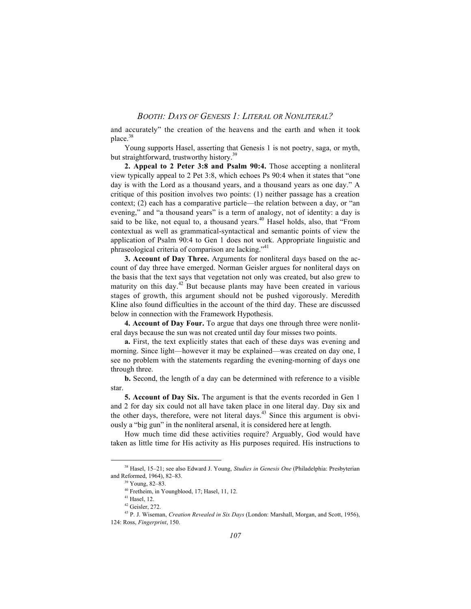and accurately" the creation of the heavens and the earth and when it took place.<sup>38</sup>

Young supports Hasel, asserting that Genesis 1 is not poetry, saga, or myth, but straightforward, trustworthy history.<sup>39</sup>

**2. Appeal to 2 Peter 3:8 and Psalm 90:4.** Those accepting a nonliteral view typically appeal to 2 Pet 3:8, which echoes Ps 90:4 when it states that "one day is with the Lord as a thousand years, and a thousand years as one day." A critique of this position involves two points: (1) neither passage has a creation context; (2) each has a comparative particle—the relation between a day, or "an evening," and "a thousand years" is a term of analogy, not of identity: a day is said to be like, not equal to, a thousand years.<sup>40</sup> Hasel holds, also, that "From contextual as well as grammatical-syntactical and semantic points of view the application of Psalm 90:4 to Gen 1 does not work. Appropriate linguistic and phraseological criteria of comparison are lacking."41

**3. Account of Day Three.** Arguments for nonliteral days based on the account of day three have emerged. Norman Geisler argues for nonliteral days on the basis that the text says that vegetation not only was created, but also grew to maturity on this day.<sup>42</sup> But because plants may have been created in various stages of growth, this argument should not be pushed vigorously. Meredith Kline also found difficulties in the account of the third day. These are discussed below in connection with the Framework Hypothesis.

**4. Account of Day Four.** To argue that days one through three were nonliteral days because the sun was not created until day four misses two points.

**a.** First, the text explicitly states that each of these days was evening and morning. Since light—however it may be explained—was created on day one, I see no problem with the statements regarding the evening-morning of days one through three.

**b.** Second, the length of a day can be determined with reference to a visible star.

**5. Account of Day Six.** The argument is that the events recorded in Gen 1 and 2 for day six could not all have taken place in one literal day. Day six and the other days, therefore, were not literal days.<sup>43</sup> Since this argument is obviously a "big gun" in the nonliteral arsenal, it is considered here at length.

How much time did these activities require? Arguably, God would have taken as little time for His activity as His purposes required. His instructions to

38 Hasel, 15–21; see also Edward J. Young, *Studies in Genesis One* (Philadelphia: Presbyterian and Reformed, 1964), 82–83.

<sup>39</sup> Young, 82–83.

<sup>40</sup> Fretheim, in Youngblood, 17; Hasel, 11, 12.

 $41$  Hasel, 12.

<sup>42</sup> Geisler, 272.

<sup>43</sup> P. J. Wiseman, *Creation Revealed in Six Days* (London: Marshall, Morgan, and Scott, 1956), 124: Ross, *Fingerprint*, 150.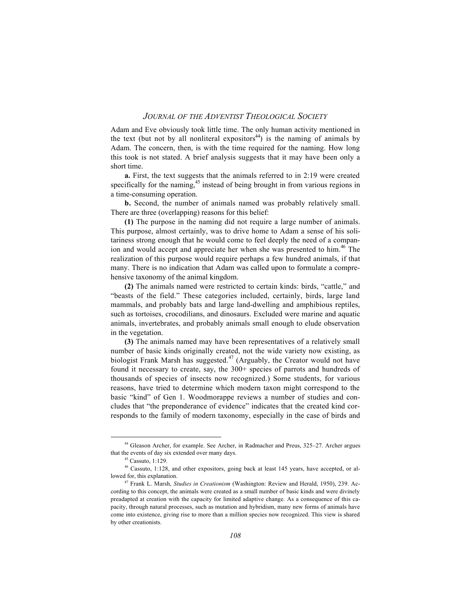Adam and Eve obviously took little time. The only human activity mentioned in the text (but not by all nonliteral expositors<sup>44</sup>) is the naming of animals by Adam. The concern, then, is with the time required for the naming. How long this took is not stated. A brief analysis suggests that it may have been only a short time.

**a.** First, the text suggests that the animals referred to in 2:19 were created specifically for the naming,<sup>45</sup> instead of being brought in from various regions in a time-consuming operation.

**b.** Second, the number of animals named was probably relatively small. There are three (overlapping) reasons for this belief:

**(1)** The purpose in the naming did not require a large number of animals. This purpose, almost certainly, was to drive home to Adam a sense of his solitariness strong enough that he would come to feel deeply the need of a companion and would accept and appreciate her when she was presented to him.<sup>46</sup> The realization of this purpose would require perhaps a few hundred animals, if that many. There is no indication that Adam was called upon to formulate a comprehensive taxonomy of the animal kingdom.

**(2)** The animals named were restricted to certain kinds: birds, "cattle," and "beasts of the field." These categories included, certainly, birds, large land mammals, and probably bats and large land-dwelling and amphibious reptiles, such as tortoises, crocodilians, and dinosaurs. Excluded were marine and aquatic animals, invertebrates, and probably animals small enough to elude observation in the vegetation.

**(3)** The animals named may have been representatives of a relatively small number of basic kinds originally created, not the wide variety now existing, as biologist Frank Marsh has suggested.<sup>47</sup> (Arguably, the Creator would not have found it necessary to create, say, the 300+ species of parrots and hundreds of thousands of species of insects now recognized.) Some students, for various reasons, have tried to determine which modern taxon might correspond to the basic "kind" of Gen 1. Woodmorappe reviews a number of studies and concludes that "the preponderance of evidence" indicates that the created kind corresponds to the family of modern taxonomy, especially in the case of birds and

44 Gleason Archer, for example. See Archer, in Radmacher and Preus, 325–27. Archer argues that the events of day six extended over many days.

<sup>45</sup> Cassuto, 1:129.

<sup>46</sup> Cassuto, 1:128, and other expositors, going back at least 145 years, have accepted, or allowed for, this explanation.

<sup>47</sup> Frank L. Marsh, *Studies in Creationism* (Washington: Review and Herald, 1950), 239. According to this concept, the animals were created as a small number of basic kinds and were divinely preadapted at creation with the capacity for limited adaptive change. As a consequence of this capacity, through natural processes, such as mutation and hybridism, many new forms of animals have come into existence, giving rise to more than a million species now recognized. This view is shared by other creationists.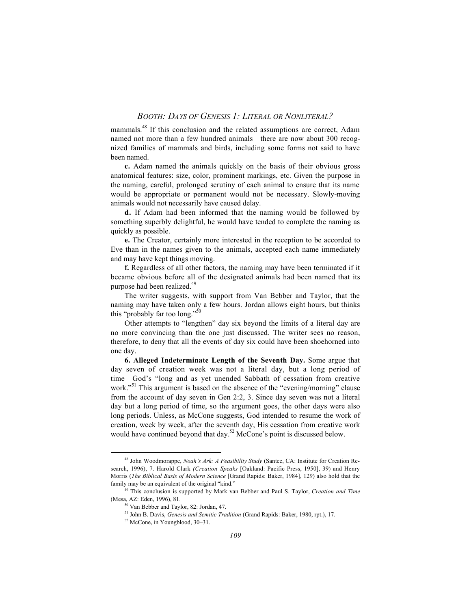mammals.48 If this conclusion and the related assumptions are correct, Adam named not more than a few hundred animals—there are now about 300 recognized families of mammals and birds, including some forms not said to have been named.

**c.** Adam named the animals quickly on the basis of their obvious gross anatomical features: size, color, prominent markings, etc. Given the purpose in the naming, careful, prolonged scrutiny of each animal to ensure that its name would be appropriate or permanent would not be necessary. Slowly-moving animals would not necessarily have caused delay.

**d.** If Adam had been informed that the naming would be followed by something superbly delightful, he would have tended to complete the naming as quickly as possible.

**e.** The Creator, certainly more interested in the reception to be accorded to Eve than in the names given to the animals, accepted each name immediately and may have kept things moving.

**f.** Regardless of all other factors, the naming may have been terminated if it became obvious before all of the designated animals had been named that its purpose had been realized.<sup>49</sup>

The writer suggests, with support from Van Bebber and Taylor, that the naming may have taken only a few hours. Jordan allows eight hours, but thinks this "probably far too long."50

Other attempts to "lengthen" day six beyond the limits of a literal day are no more convincing than the one just discussed. The writer sees no reason, therefore, to deny that all the events of day six could have been shoehorned into one day.

**6. Alleged Indeterminate Length of the Seventh Day.** Some argue that day seven of creation week was not a literal day, but a long period of time—God's "long and as yet unended Sabbath of cessation from creative work."<sup>51</sup> This argument is based on the absence of the "evening/morning" clause from the account of day seven in Gen 2:2, 3. Since day seven was not a literal day but a long period of time, so the argument goes, the other days were also long periods. Unless, as McCone suggests, God intended to resume the work of creation, week by week, after the seventh day, His cessation from creative work would have continued beyond that day.<sup>52</sup> McCone's point is discussed below.

48 John Woodmorappe, *Noah's Ark: A Feasibility Study* (Santee, CA: Institute for Creation Research, 1996), 7. Harold Clark *(Creation Speaks* [Oakland: Pacific Press, 1950], 39) and Henry Morris (*The Biblical Basis of Modern Science* [Grand Rapids: Baker, 1984], 129) also hold that the family may be an equivalent of the original "kind."

<sup>49</sup> This conclusion is supported by Mark van Bebber and Paul S. Taylor, *Creation and Time* (Mesa, AZ: Eden, 1996), 81.

<sup>50</sup> Van Bebber and Taylor, 82: Jordan, 47.

<sup>51</sup> John B. Davis, *Genesis and Semitic Tradition* (Grand Rapids: Baker, 1980, rpt.), 17.

<sup>52</sup> McCone, in Youngblood, 30–31.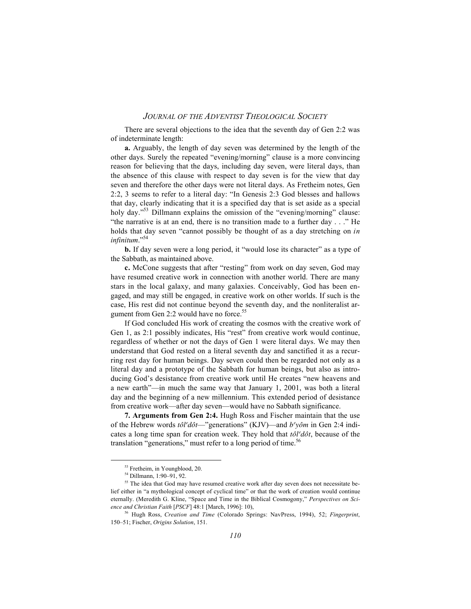There are several objections to the idea that the seventh day of Gen 2:2 was of indeterminate length:

**a.** Arguably, the length of day seven was determined by the length of the other days. Surely the repeated "evening/morning" clause is a more convincing reason for believing that the days, including day seven, were literal days, than the absence of this clause with respect to day seven is for the view that day seven and therefore the other days were not literal days. As Fretheim notes, Gen 2:2, 3 seems to refer to a literal day: "In Genesis 2:3 God blesses and hallows that day, clearly indicating that it is a specified day that is set aside as a special holy day.<sup>553</sup> Dillmann explains the omission of the "evening/morning" clause: "the narrative is at an end, there is no transition made to a further day . . ." He holds that day seven "cannot possibly be thought of as a day stretching on *in infinitum*."54

**b.** If day seven were a long period, it "would lose its character" as a type of the Sabbath, as maintained above.

**c.** McCone suggests that after "resting" from work on day seven, God may have resumed creative work in connection with another world. There are many stars in the local galaxy, and many galaxies. Conceivably, God has been engaged, and may still be engaged, in creative work on other worlds. If such is the case, His rest did not continue beyond the seventh day, and the nonliteralist argument from Gen 2:2 would have no force.<sup>55</sup>

If God concluded His work of creating the cosmos with the creative work of Gen 1, as 2:1 possibly indicates, His "rest" from creative work would continue, regardless of whether or not the days of Gen 1 were literal days. We may then understand that God rested on a literal seventh day and sanctified it as a recurring rest day for human beings. Day seven could then be regarded not only as a literal day and a prototype of the Sabbath for human beings, but also as introducing God's desistance from creative work until He creates "new heavens and a new earth"—in much the same way that January 1, 2001, was both a literal day and the beginning of a new millennium. This extended period of desistance from creative work—after day seven—would have no Sabbath significance.

**7. Arguments from Gen 2:4.** Hugh Ross and Fischer maintain that the use of the Hebrew words  $t \partial l^e d \partial t$ —"generations" (KJV)—and  $b^e y \partial m$  in Gen 2:4 indicates a long time span for creation week. They hold that  $t\partial l^{\theta}d\partial t$ , because of the translation "generations," must refer to a long period of time.<sup>56</sup>

53 Fretheim, in Youngblood, 20.

<sup>54</sup> Dillmann, 1:90–91, 92.

<sup>&</sup>lt;sup>55</sup> The idea that God may have resumed creative work after day seven does not necessitate belief either in "a mythological concept of cyclical time" or that the work of creation would continue eternally. (Meredith G. Kline, "Space and Time in the Biblical Cosmogony," *Perspectives on Science and Christian Faith* [*PSCF*] 48:1 [March, 1996]: 10),

<sup>56</sup> Hugh Ross, *Creation and Time* (Colorado Springs: NavPress, 1994), 52; *Fingerprint*, 150–51; Fischer, *Origins Solution*, 151.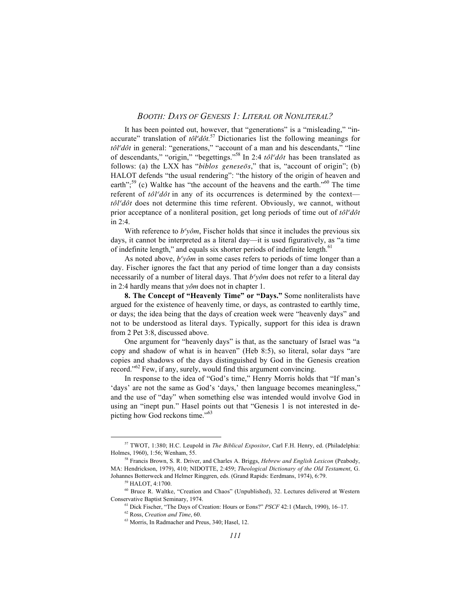It has been pointed out, however, that "generations" is a "misleading," "inaccurate" translation of  $t\partial l^e d\partial t$ <sup>57</sup> Dictionaries list the following meanings for  $t\partial l^e d\partial t$  in general: "generations," "account of a man and his descendants," "line of descendants," "origin," "begettings."<sup>58</sup> In 2:4  $t \partial l^e d \partial t$  has been translated as follows: (a) the LXX has "*biblos geneseos*," that is, "account of origin"; (b) HALOT defends "the usual rendering": "the history of the origin of heaven and earth";<sup>59</sup> (c) Waltke has "the account of the heavens and the earth."<sup>60</sup> The time referent of  $t \partial l^e d\partial t$  in any of its occurrences is determined by the context *tôl<sup>e</sup>dôt* does not determine this time referent. Obviously, we cannot, without prior acceptance of a nonliteral position, get long periods of time out of  $t \partial l^e d\partial t$ in 2:4.

With reference to  $b^{\epsilon}$ *yôm*, Fischer holds that since it includes the previous six days, it cannot be interpreted as a literal day—it is used figuratively, as "a time of indefinite length," and equals six shorter periods of indefinite length.<sup>61</sup>

As noted above,  $b^e$ *yôm* in some cases refers to periods of time longer than a day. Fischer ignores the fact that any period of time longer than a day consists necessarily of a number of literal days. That  $b^e$ *yôm* does not refer to a literal day in 2:4 hardly means that *yôm* does not in chapter 1.

**8. The Concept of "Heavenly Time" or "Days."** Some nonliteralists have argued for the existence of heavenly time, or days, as contrasted to earthly time, or days; the idea being that the days of creation week were "heavenly days" and not to be understood as literal days. Typically, support for this idea is drawn from 2 Pet 3:8, discussed above.

One argument for "heavenly days" is that, as the sanctuary of Israel was "a copy and shadow of what is in heaven" (Heb 8:5), so literal, solar days "are copies and shadows of the days distinguished by God in the Genesis creation record."<sup>62</sup> Few, if any, surely, would find this argument convincing.

In response to the idea of "God's time," Henry Morris holds that "If man's 'days' are not the same as God's 'days,' then language becomes meaningless," and the use of "day" when something else was intended would involve God in using an "inept pun." Hasel points out that "Genesis 1 is not interested in depicting how God reckons time."<sup>63</sup>

57 TWOT, 1:380; H.C. Leupold in *The Biblical Expositor*, Carl F.H. Henry, ed. (Philadelphia: Holmes, 1960), 1:56; Wenham, 55.

<sup>58</sup> Francis Brown, S. R. Driver, and Charles A. Briggs, *Hebrew and English Lexicon* (Peabody, MA: Hendrickson, 1979), 410; NIDOTTE, 2:459; *Theological Dictionary of the Old Testament*, G. Johannes Botterweck and Helmer Ringgren, eds. (Grand Rapids: Eerdmans, 1974), 6:79.

 $9$  HALOT, 4:1700.

<sup>60</sup> Bruce R. Waltke, "Creation and Chaos" (Unpublished), 32. Lectures delivered at Western Conservative Baptist Seminary, 1974.

<sup>61</sup> Dick Fischer, "The Days of Creation: Hours or Eons?" *PSCF* 42:1 (March, 1990), 16–17.

<sup>62</sup> Ross, *Creation and Time*, 60.

<sup>63</sup> Morris, In Radmacher and Preus, 340; Hasel, 12.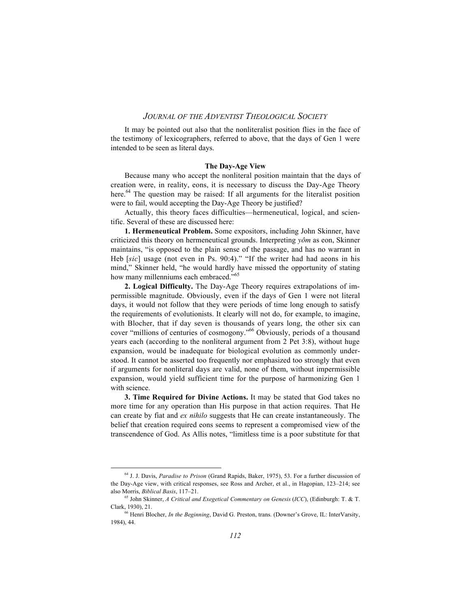It may be pointed out also that the nonliteralist position flies in the face of the testimony of lexicographers, referred to above, that the days of Gen 1 were intended to be seen as literal days.

#### **The Day-Age View**

Because many who accept the nonliteral position maintain that the days of creation were, in reality, eons, it is necessary to discuss the Day-Age Theory here.<sup>64</sup> The question may be raised: If all arguments for the literalist position were to fail, would accepting the Day-Age Theory be justified?

Actually, this theory faces difficulties—hermeneutical, logical, and scientific. Several of these are discussed here:

**1. Hermeneutical Problem.** Some expositors, including John Skinner, have criticized this theory on hermeneutical grounds. Interpreting *yôm* as eon, Skinner maintains, "is opposed to the plain sense of the passage, and has no warrant in Heb [*sic*] usage (not even in Ps. 90:4)." "If the writer had had aeons in his mind," Skinner held, "he would hardly have missed the opportunity of stating how many millenniums each embraced."<sup>65</sup>

**2. Logical Difficulty.** The Day-Age Theory requires extrapolations of impermissible magnitude. Obviously, even if the days of Gen 1 were not literal days, it would not follow that they were periods of time long enough to satisfy the requirements of evolutionists. It clearly will not do, for example, to imagine, with Blocher, that if day seven is thousands of years long, the other six can cover "millions of centuries of cosmogony."66 Obviously, periods of a thousand years each (according to the nonliteral argument from 2 Pet 3:8), without huge expansion, would be inadequate for biological evolution as commonly understood. It cannot be asserted too frequently nor emphasized too strongly that even if arguments for nonliteral days are valid, none of them, without impermissible expansion, would yield sufficient time for the purpose of harmonizing Gen 1 with science.

**3. Time Required for Divine Actions.** It may be stated that God takes no more time for any operation than His purpose in that action requires. That He can create by fiat and *ex nihilo* suggests that He can create instantaneously. The belief that creation required eons seems to represent a compromised view of the transcendence of God. As Allis notes, "limitless time is a poor substitute for that

64 J. J. Davis, *Paradise to Prison* (Grand Rapids, Baker, 1975), 53. For a further discussion of the Day-Age view, with critical responses, see Ross and Archer, et al., in Hagopian, 123–214; see also Morris, *Biblical Basis*, 117–21.

<sup>65</sup> John Skinner, *A Critical and Exegetical Commentary on Genesis* (*ICC*), (Edinburgh: T. & T. Clark, 1930), 21.

<sup>66</sup> Henri Blocher, *In the Beginning*, David G. Preston, trans. (Downer's Grove, IL: InterVarsity, 1984), 44.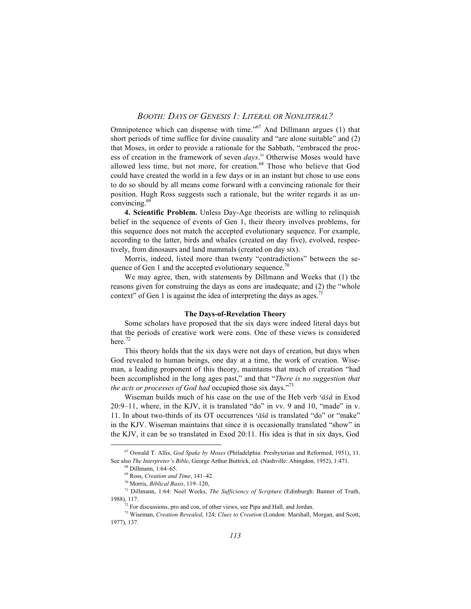Omnipotence which can dispense with time."<sup>67</sup> And Dillmann argues (1) that short periods of time suffice for divine causality and "are alone suitable" and (2) that Moses, in order to provide a rationale for the Sabbath, "embraced the process of creation in the framework of seven *days*." Otherwise Moses would have allowed less time, but not more, for creation.<sup>68</sup> Those who believe that God could have created the world in a few days or in an instant but chose to use eons to do so should by all means come forward with a convincing rationale for their position. Hugh Ross suggests such a rationale, but the writer regards it as unconvincing.69

**4. Scientific Problem.** Unless Day-Age theorists are willing to relinquish belief in the sequence of events of Gen 1, their theory involves problems, for this sequence does not match the accepted evolutionary sequence. For example, according to the latter, birds and whales (created on day five), evolved, respectively, from dinosaurs and land mammals (created on day six).

Morris, indeed, listed more than twenty "contradictions" between the sequence of Gen 1 and the accepted evolutionary sequence.<sup>70</sup>

We may agree, then, with statements by Dillmann and Weeks that (1) the reasons given for construing the days as eons are inadequate; and (2) the "whole context" of Gen 1 is against the idea of interpreting the days as ages.<sup>71</sup>

#### **The Days-of-Revelation Theory**

Some scholars have proposed that the six days were indeed literal days but that the periods of creative work were eons. One of these views is considered here. $72$ 

This theory holds that the six days were not days of creation, but days when God revealed to human beings, one day at a time, the work of creation. Wiseman, a leading proponent of this theory, maintains that much of creation "had been accomplished in the long ages past," and that "*There is no suggestion that the acts or processes of God had* occupied those six days."73

Wiseman builds much of his case on the use of the Heb verb ' $\bar{a}\hat{s}\hat{a}$  in Exod 20:9–11, where, in the KJV, it is translated "do" in vv. 9 and 10, "made" in v. 11. In about two-thirds of its OT occurrences *'āśâ* is translated "do" or "make" in the KJV. Wiseman maintains that since it is occasionally translated "show" in the KJV, it can be so translated in Exod 20:11. His idea is that in six days, God

67 Oswald T. Allis, *God Spake by Moses* (Philadelphia: Presbyterian and Reformed, 1951), 11. See also *The Interpreter's Bible*, George Arthur Buttrick, ed. (Nashville: Abingdon, 1952), 1:471.

<sup>68</sup> Dillmann, 1:64–65.

<sup>69</sup> Ross, *Creation and Time*, 141–42.

<sup>70</sup> Morris, *Biblical Basis*, 119–120,

<sup>71</sup> Dillmann, 1:64: Noel Weeks, *The Sufficiency of Scripture* (Edinburgh: Banner of Truth, 1988), 117.

<sup>72</sup> For discussions, pro and con, of other views, see Pipa and Hall, and Jordan.

<sup>73</sup> Wiseman, *Creation Revealed*, 124; *Clues to Creation* (London: Marshall, Morgan, and Scott, 1977), 137.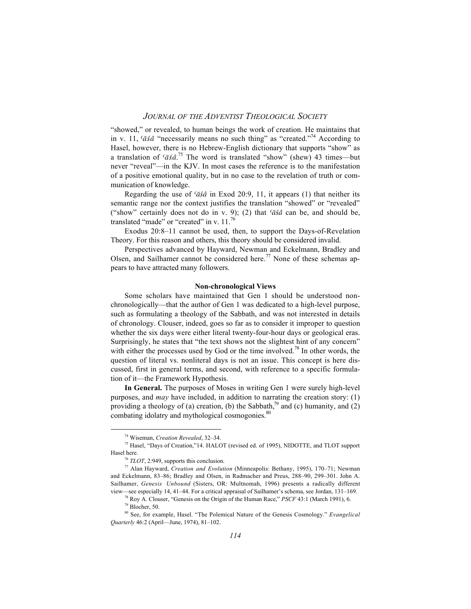"showed," or revealed, to human beings the work of creation. He maintains that in v. 11,  $\langle \bar{a}\rangle$  "necessarily means no such thing" as "created."<sup>74</sup> According to Hasel, however, there is no Hebrew-English dictionary that supports "show" as a translation of  $\langle \bar{a}\dot{s}\hat{a}\rangle^{75}$  The word is translated "show" (shew) 43 times—but never "reveal"—in the KJV. In most cases the reference is to the manifestation of a positive emotional quality, but in no case to the revelation of truth or communication of knowledge.

Regarding the use of  $\langle \bar{a}\hat{s}\hat{a} \rangle$  in Exod 20:9, 11, it appears (1) that neither its semantic range nor the context justifies the translation "showed" or "revealed" ("show" certainly does not do in v. 9); (2) that  $\bar{a}\bar{s}\hat{a}$  can be, and should be, translated "made" or "created" in v. 11.<sup>76</sup>

Exodus 20:8–11 cannot be used, then, to support the Days-of-Revelation Theory. For this reason and others, this theory should be considered invalid.

Perspectives advanced by Hayward, Newman and Eckelmann, Bradley and Olsen, and Sailhamer cannot be considered here.<sup>77</sup> None of these schemas appears to have attracted many followers.

#### **Non-chronological Views**

Some scholars have maintained that Gen 1 should be understood nonchronologically—that the author of Gen 1 was dedicated to a high-level purpose, such as formulating a theology of the Sabbath, and was not interested in details of chronology. Clouser, indeed, goes so far as to consider it improper to question whether the six days were either literal twenty-four-hour days or geological eras. Surprisingly, he states that "the text shows not the slightest hint of any concern" with either the processes used by God or the time involved.<sup>78</sup> In other words, the question of literal vs. nonliteral days is not an issue. This concept is here discussed, first in general terms, and second, with reference to a specific formulation of it—the Framework Hypothesis.

**In General.** The purposes of Moses in writing Gen 1 were surely high-level purposes, and *may* have included, in addition to narrating the creation story: (1) providing a theology of (a) creation, (b) the Sabbath,<sup>79</sup> and (c) humanity, and (2) combating idolatry and mythological cosmogonies.<sup>80</sup>

74 Wiseman, *Creation Revealed*, 32–34.

<sup>75</sup> Hasel, "Days of Creation,"14. HALOT (revised ed. of 1995), NIDOTTE, and TLOT support Hasel here.

<sup>76</sup> *TLOT*, 2:949, supports this conclusion.

<sup>77</sup> Alan Hayward, *Creation and Evolution* (Minneapolis: Bethany, 1995), 170–71; Newman and Eckelmann, 83–86; Bradley and Olsen, in Radmacher and Preus, 288–90, 299–301. John A. Sailhamer, *Genesis Unbound* (Sisters, OR: Multnomah, 1996) presents a radically different view—see especially 14, 41–44. For a critical appraisal of Sailhamer's schema, see Jordan, 131–169.

<sup>78</sup> Roy A. Clouser, "Genesis on the Origin of the Human Race," *PSCF* 43:1 (March 1991), 6.

<sup>79</sup> Blocher, 50.

<sup>80</sup> See, for example, Hasel. "The Polemical Nature of the Genesis Cosmology." *Evangelical Quarterly* 46:2 (April—June, 1974), 81–102.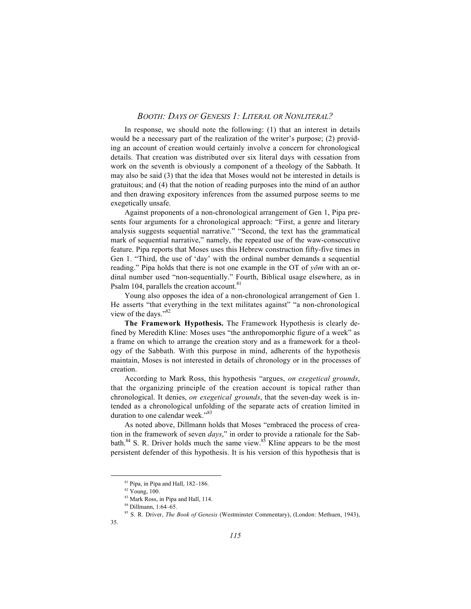In response, we should note the following: (1) that an interest in details would be a necessary part of the realization of the writer's purpose; (2) providing an account of creation would certainly involve a concern for chronological details. That creation was distributed over six literal days with cessation from work on the seventh is obviously a component of a theology of the Sabbath. It may also be said (3) that the idea that Moses would not be interested in details is gratuitous; and (4) that the notion of reading purposes into the mind of an author and then drawing expository inferences from the assumed purpose seems to me exegetically unsafe.

Against proponents of a non-chronological arrangement of Gen 1, Pipa presents four arguments for a chronological approach: "First, a genre and literary analysis suggests sequential narrative." "Second, the text has the grammatical mark of sequential narrative," namely, the repeated use of the waw-consecutive feature. Pipa reports that Moses uses this Hebrew construction fifty-five times in Gen 1. "Third, the use of 'day' with the ordinal number demands a sequential reading." Pipa holds that there is not one example in the OT of *yôm* with an ordinal number used "non-sequentially." Fourth, Biblical usage elsewhere, as in Psalm 104, parallels the creation account.<sup>81</sup>

Young also opposes the idea of a non-chronological arrangement of Gen 1. He asserts "that everything in the text militates against" "a non-chronological view of the days."<sup>82</sup>

**The Framework Hypothesis.** The Framework Hypothesis is clearly defined by Meredith Kline: Moses uses "the anthropomorphic figure of a week" as a frame on which to arrange the creation story and as a framework for a theology of the Sabbath. With this purpose in mind, adherents of the hypothesis maintain, Moses is not interested in details of chronology or in the processes of creation.

According to Mark Ross, this hypothesis "argues, *on exegetical grounds*, that the organizing principle of the creation account is topical rather than chronological. It denies, *on exegetical grounds*, that the seven-day week is intended as a chronological unfolding of the separate acts of creation limited in duration to one calendar week."<sup>83</sup>

As noted above, Dillmann holds that Moses "embraced the process of creation in the framework of seven *days*," in order to provide a rationale for the Sabbath. $84$  S. R. Driver holds much the same view. $85$  Kline appears to be the most persistent defender of this hypothesis. It is his version of this hypothesis that is

81 Pipa, in Pipa and Hall, 182–186.

<sup>82</sup> Young, 100.

<sup>83</sup> Mark Ross, in Pipa and Hall, 114.

<sup>84</sup> Dillmann, 1:64–65.

<sup>85</sup> S. R. Driver, *The Book of Genesis* (Westminster Commentary), (London: Methuen, 1943),

<sup>35.</sup>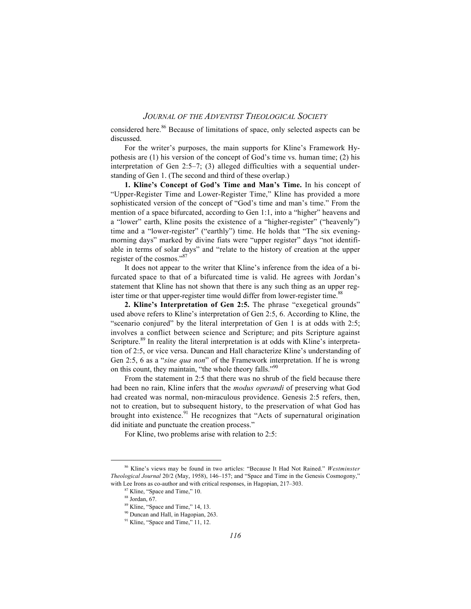considered here.<sup>86</sup> Because of limitations of space, only selected aspects can be discussed.

For the writer's purposes, the main supports for Kline's Framework Hypothesis are (1) his version of the concept of God's time vs. human time; (2) his interpretation of Gen 2:5–7; (3) alleged difficulties with a sequential understanding of Gen 1. (The second and third of these overlap.)

**1. Kline's Concept of God's Time and Man's Time.** In his concept of "Upper-Register Time and Lower-Register Time," Kline has provided a more sophisticated version of the concept of "God's time and man's time." From the mention of a space bifurcated, according to Gen 1:1, into a "higher" heavens and a "lower" earth, Kline posits the existence of a "higher-register" ("heavenly") time and a "lower-register" ("earthly") time. He holds that "The six eveningmorning days" marked by divine fiats were "upper register" days "not identifiable in terms of solar days" and "relate to the history of creation at the upper register of the cosmos."87

It does not appear to the writer that Kline's inference from the idea of a bifurcated space to that of a bifurcated time is valid. He agrees with Jordan's statement that Kline has not shown that there is any such thing as an upper register time or that upper-register time would differ from lower-register time.<sup>88</sup>

**2. Kline's Interpretation of Gen 2:5.** The phrase "exegetical grounds" used above refers to Kline's interpretation of Gen 2:5, 6. According to Kline, the "scenario conjured" by the literal interpretation of Gen 1 is at odds with 2:5; involves a conflict between science and Scripture; and pits Scripture against Scripture.<sup>89</sup> In reality the literal interpretation is at odds with Kline's interpretation of 2:5, or vice versa. Duncan and Hall characterize Kline's understanding of Gen 2:5, 6 as a "*sine qua non*" of the Framework interpretation. If he is wrong on this count, they maintain, "the whole theory falls."<sup>90</sup>

From the statement in 2:5 that there was no shrub of the field because there had been no rain, Kline infers that the *modus operandi* of preserving what God had created was normal, non-miraculous providence. Genesis 2:5 refers, then, not to creation, but to subsequent history, to the preservation of what God has brought into existence. $91$  He recognizes that "Acts of supernatural origination did initiate and punctuate the creation process."

For Kline, two problems arise with relation to 2:5:

86 Kline's views may be found in two articles: "Because It Had Not Rained." *Westminster Theological Journal* 20/2 (May, 1958), 146–157; and "Space and Time in the Genesis Cosmogony," with Lee Irons as co-author and with critical responses, in Hagopian, 217–303.

Kline, "Space and Time," 10.

 $88$  Jordan, 67.

<sup>89</sup> Kline, "Space and Time," 14, 13.

<sup>&</sup>lt;sup>90</sup> Duncan and Hall, in Hagopian, 263.

<sup>&</sup>lt;sup>91</sup> Kline, "Space and Time," 11, 12.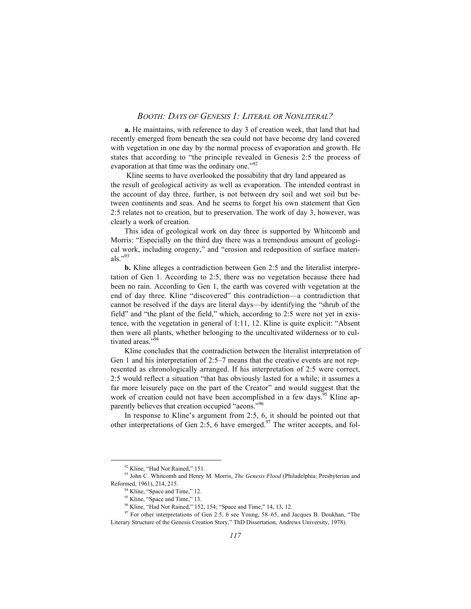**a.** He maintains, with reference to day 3 of creation week, that land that had recently emerged from beneath the sea could not have become dry land covered with vegetation in one day by the normal process of evaporation and growth. He states that according to "the principle revealed in Genesis 2:5 the process of evaporation at that time was the ordinary one."<sup>92</sup>

 Kline seems to have overlooked the possibility that dry land appeared as the result of geological activity as well as evaporation. The intended contrast in the account of day three, further, is not between dry soil and wet soil but between continents and seas. And he seems to forget his own statement that Gen 2:5 relates not to creation, but to preservation. The work of day 3, however, was clearly a work of creation.

This idea of geological work on day three is supported by Whitcomb and Morris: "Especially on the third day there was a tremendous amount of geological work, including orogeny," and "erosion and redeposition of surface materials." $^{93}$ 

**b.** Kline alleges a contradiction between Gen 2:5 and the literalist interpretation of Gen 1. According to 2:5, there was no vegetation because there had been no rain. According to Gen 1, the earth was covered with vegetation at the end of day three. Kline "discovered" this contradiction—a contradiction that cannot be resolved if the days are literal days—by identifying the "shrub of the field" and "the plant of the field," which, according to 2:5 were not yet in existence, with the vegetation in general of 1:11, 12. Kline is quite explicit: "Absent then were all plants, whether belonging to the uncultivated wilderness or to cultivated areas."<sup>94</sup>

Kline concludes that the contradiction between the literalist interpretation of Gen 1 and his interpretation of 2:5–7 means that the creative events are not represented as chronologically arranged. If his interpretation of 2:5 were correct, 2:5 would reflect a situation "that has obviously lasted for a while; it assumes a far more leisurely pace on the part of the Creator" and would suggest that the work of creation could not have been accomplished in a few days.<sup>95</sup> Kline apparently believes that creation occupied "aeons."<sup>96</sup>

In response to Kline's argument from 2:5, 6, it should be pointed out that other interpretations of Gen 2:5, 6 have emerged.<sup>97</sup> The writer accepts, and fol-

<sup>&</sup>lt;sup>92</sup> Kline, "Had Not Rained," 151.

<sup>93</sup> John C. Whitcomb and Henry M. Morris, *The Genesis Flood* (Philadelphia: Presbyterian and Reformed, 1961), 214, 215.

<sup>&</sup>lt;sup>1</sup> Kline, "Space and Time," 12.

 $95$  Kline, "Space and Time," 13.

<sup>96</sup> Kline, "Had Not Rained," 152, 154; "Space and Time," 14, 13, 12.

<sup>&</sup>lt;sup>97</sup> For other interpretations of Gen 2:5, 6 see Young, 58–65, and Jacques B. Doukhan, "The Literary Structure of the Genesis Creation Story," ThD Dissertation, Andrews University, 1978).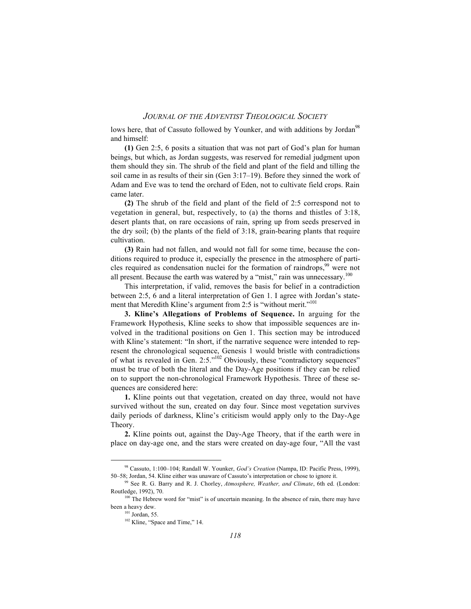lows here, that of Cassuto followed by Younker, and with additions by Jordan<sup>98</sup> and himself:

**(1)** Gen 2:5, 6 posits a situation that was not part of God's plan for human beings, but which, as Jordan suggests, was reserved for remedial judgment upon them should they sin. The shrub of the field and plant of the field and tilling the soil came in as results of their sin (Gen 3:17–19). Before they sinned the work of Adam and Eve was to tend the orchard of Eden, not to cultivate field crops. Rain came later.

**(2)** The shrub of the field and plant of the field of 2:5 correspond not to vegetation in general, but, respectively, to (a) the thorns and thistles of 3:18, desert plants that, on rare occasions of rain, spring up from seeds preserved in the dry soil; (b) the plants of the field of 3:18, grain-bearing plants that require cultivation.

**(3)** Rain had not fallen, and would not fall for some time, because the conditions required to produce it, especially the presence in the atmosphere of particles required as condensation nuclei for the formation of raindrops,<sup>99</sup> were not all present. Because the earth was watered by a "mist," rain was unnecessary. $100$ 

This interpretation, if valid, removes the basis for belief in a contradiction between 2:5, 6 and a literal interpretation of Gen 1. I agree with Jordan's statement that Meredith Kline's argument from 2:5 is "without merit."<sup>101</sup>

**3. Kline's Allegations of Problems of Sequence.** In arguing for the Framework Hypothesis, Kline seeks to show that impossible sequences are involved in the traditional positions on Gen 1. This section may be introduced with Kline's statement: "In short, if the narrative sequence were intended to represent the chronological sequence, Genesis 1 would bristle with contradictions of what is revealed in Gen. 2:5."102 Obviously, these "contradictory sequences" must be true of both the literal and the Day-Age positions if they can be relied on to support the non-chronological Framework Hypothesis. Three of these sequences are considered here:

**1.** Kline points out that vegetation, created on day three, would not have survived without the sun, created on day four. Since most vegetation survives daily periods of darkness, Kline's criticism would apply only to the Day-Age Theory.

**2.** Kline points out, against the Day-Age Theory, that if the earth were in place on day-age one, and the stars were created on day-age four, "All the vast

98 Cassuto, 1:100–104; Randall W. Younker, *God's Creation* (Nampa, ID: Pacific Press, 1999), 50–58; Jordan, 54. Kline either was unaware of Cassuto's interpretation or chose to ignore it.

<sup>99</sup> See R. G. Barry and R. J. Chorley, *Atmosphere, Weather, and Climate*, 6th ed. (London: Routledge, 1992), 70.

<sup>&</sup>lt;sup>100</sup> The Hebrew word for "mist" is of uncertain meaning. In the absence of rain, there may have been a heavy dew.

 $101$  Jordan, 55.

<sup>&</sup>lt;sup>102</sup> Kline, "Space and Time," 14.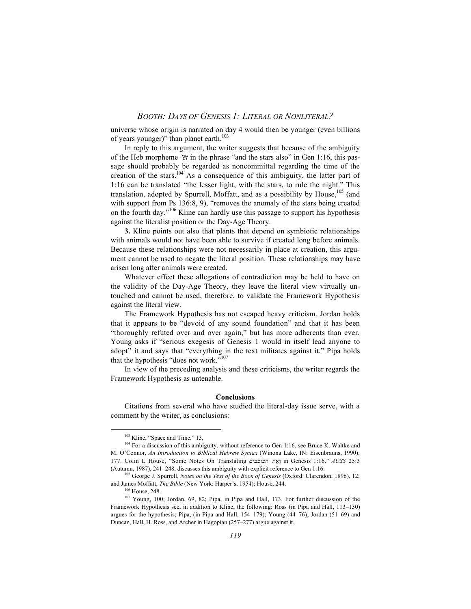universe whose origin is narrated on day 4 would then be younger (even billions of years younger)" than planet earth. $103$ 

In reply to this argument, the writer suggests that because of the ambiguity of the Heb morpheme  $\overline{e}t$  in the phrase "and the stars also" in Gen 1:16, this passage should probably be regarded as noncommittal regarding the time of the creation of the stars.<sup>104</sup> As a consequence of this ambiguity, the latter part of 1:16 can be translated "the lesser light, with the stars, to rule the night." This translation, adopted by Spurrell, Moffatt, and as a possibility by House, $105$  (and with support from Ps 136:8, 9), "removes the anomaly of the stars being created on the fourth day."106 Kline can hardly use this passage to support his hypothesis against the literalist position or the Day-Age Theory.

**3.** Kline points out also that plants that depend on symbiotic relationships with animals would not have been able to survive if created long before animals. Because these relationships were not necessarily in place at creation, this argument cannot be used to negate the literal position. These relationships may have arisen long after animals were created.

Whatever effect these allegations of contradiction may be held to have on the validity of the Day-Age Theory, they leave the literal view virtually untouched and cannot be used, therefore, to validate the Framework Hypothesis against the literal view.

The Framework Hypothesis has not escaped heavy criticism. Jordan holds that it appears to be "devoid of any sound foundation" and that it has been "thoroughly refuted over and over again," but has more adherents than ever. Young asks if "serious exegesis of Genesis 1 would in itself lead anyone to adopt" it and says that "everything in the text militates against it." Pipa holds that the hypothesis "does not work."<sup>107</sup>

In view of the preceding analysis and these criticisms, the writer regards the Framework Hypothesis as untenable.

#### **Conclusions**

Citations from several who have studied the literal-day issue serve, with a comment by the writer, as conclusions:

 $103$  Kline, "Space and Time," 13,

<sup>&</sup>lt;sup>104</sup> For a discussion of this ambiguity, without reference to Gen 1:16, see Bruce K. Waltke and M. O'Connor, *An Introduction to Biblical Hebrew Syntax* (Winona Lake, IN: Eisenbrauns, 1990), 177. Colin L House, "Some Notes On Translating וַאֶת הכוכבים in Genesis 1:16." *AUSS* 25:3 (Autumn, 1987), 241–248, discusses this ambiguity with explicit reference to Gen 1:16.

<sup>105</sup> George J. Spurrell, *Notes on the Text of the Book of Genesis* (Oxford: Clarendon, 1896), 12; and James Moffatt, *The Bible* (New York: Harper's, 1954); House, 244.

 $106$  House, 248.

<sup>107</sup> Young, 100; Jordan, 69, 82; Pipa, in Pipa and Hall, 173. For further discussion of the Framework Hypothesis see, in addition to Kline, the following: Ross (in Pipa and Hall, 113–130) argues for the hypothesis; Pipa, (in Pipa and Hall, 154–179); Young (44–76); Jordan (51–69) and Duncan, Hall, H. Ross, and Archer in Hagopian (257–277) argue against it.